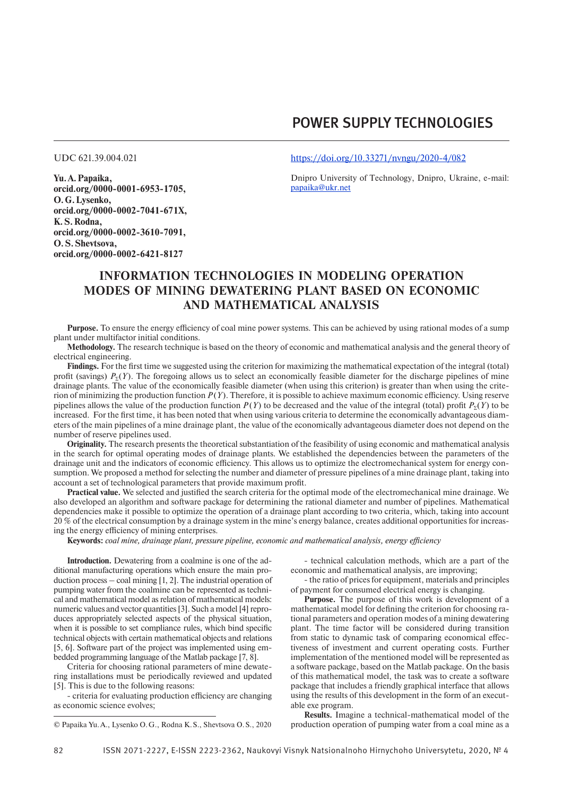# Power Supply Technologies

**Yu.A. Papaika, orcid.org/0000-0001-6953-1705, O.G. Lysenko, orcid.org/0000-0002-7041-671X, K. S. Rodna, orcid.org/0000-0002-3610-7091, O. S. Shevtsova, orcid.org/0000-0002-6421-8127**

UDC 621.39.004.021 <https://doi.org/10.33271/nvngu/2020-4/082>

Dnipro University of Technology, Dnipro, Ukraine, e-mail: [papaika@ukr.net](mailto:papaika@ukr.net)

## **Information technologies in modeling operation modes of mining dewatering plant based on economic and mathematical analysis**

**Purpose.** To ensure the energy efficiency of coal mine power systems. This can be achieved by using rational modes of a sump plant under multifactor initial conditions.

**Methodology.** The research technique is based on the theory of economic and mathematical analysis and the general theory of electrical engineering.

**Findings.** For the first time we suggested using the criterion for maximizing the mathematical expectation of the integral (total) profit (savings)  $P_{\rm y}(Y)$ . The foregoing allows us to select an economically feasible diameter for the discharge pipelines of mine drainage plants. The value of the economically feasible diameter (when using this criterion) is greater than when using the criterion of minimizing the production function  $P(Y)$ . Therefore, it is possible to achieve maximum economic efficiency. Using reserve pipelines allows the value of the production function  $P(Y)$  to be decreased and the value of the integral (total) profit  $P<sub>y</sub>(Y)$  to be increased. For the first time, it has been noted that when using various criteria to determine the economically advantageous diameters of the main pipelines of a mine drainage plant, the value of the economically advantageous diameter does not depend on the number of reserve pipelines used.

**Originality.** The research presents the theoretical substantiation of the feasibility of using economic and mathematical analysis in the search for optimal operating modes of drainage plants. We established the dependencies between the parameters of the drainage unit and the indicators of economic efficiency. This allows us to optimize the electromechanical system for energy consumption. We proposed a method for selecting the number and diameter of pressure pipelines of a mine drainage plant, taking into account a set of technological parameters that provide maximum profit.

**Practical value.** We selected and justified the search criteria for the optimal mode of the electromechanical mine drainage. We also developed an algorithm and software package for determining the rational diameter and number of pipelines. Mathematical dependencies make it possible to optimize the operation of a drainage plant according to two criteria, which, taking into account 20 % of the electrical consumption by a drainage system in the mine's energy balance, creates additional opportunities for increasing the energy efficiency of mining enterprises.

**Keywords:** *coal mine, drainage plant, pressure pipeline, economic and mathematical analysis, energy efficiency*

**Introduction.** Dewatering from a coalmine is one of the additional manufacturing operations which ensure the main production process – coal mining [1, 2]. The industrial operation of pumping water from the coalmine can be represented as technical and mathematical model as relation of mathematical models: numeric values and vector quantities [3]. Such a model [4] reproduces appropriately selected aspects of the physical situation, when it is possible to set compliance rules, which bind specific technical objects with certain mathematical objects and relations [5, 6]. Software part of the project was implemented using embedded programming language of the Matlab package [7, 8].

Criteria for choosing rational parameters of mine dewatering installations must be periodically reviewed and updated [5]. This is due to the following reasons:

- criteria for evaluating production efficiency are changing as economic science evolves;

- technical calculation methods, which are a part of the economic and mathematical analysis, are improving;

- the ratio of prices for equipment, materials and principles of payment for consumed electrical energy is changing.

**Purpose.** The purpose of this work is development of a mathematical model for defining the criterion for choosing rational parameters and operation modes of a mining dewatering plant. The time factor will be considered during transition from static to dynamic task of comparing economical effectiveness of investment and current operating costs. Further implementation of the mentioned model will be represented as a software package, based on the Matlab package. On the basis of this mathematical model, the task was to create a software package that includes a friendly graphical interface that allows using the results of this development in the form of an executable exe program.

**Results.** Imagine a technical-mathematical model of the production operation of pumping water from a coal mine as a

<sup>©</sup> Papaika Yu.A., Lysenko O.G., Rodna K.S., Shevtsova O.S., 2020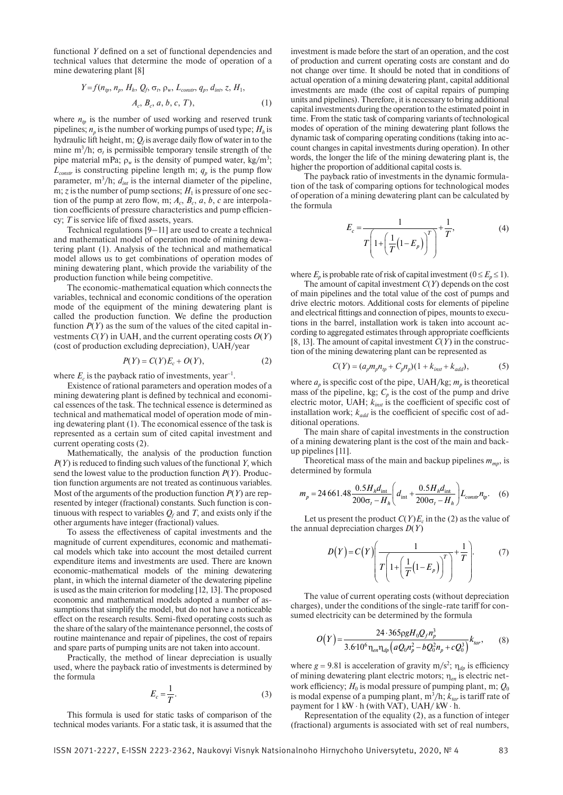functional *Y* defined on a set of functional dependencies and technical values that determine the mode of operation of a mine dewatering plant [8]

$$
Y = f(n_{tp}, n_p, H_h, Q_f, \sigma_t, \rho_w, L_{constr}, q_p, d_{int}, z, H_1, A_c, B_c, a, b, c, T),
$$
 (1)

where  $n_p$  is the number of used working and reserved trunk pipelines;  $n_p$  is the number of working pumps of used type;  $H_h$  is hydraulic lift height, m;  $Q_f$  is average daily flow of water in to the mine  $m^3/h$ ;  $\sigma_t$  is permissible temporary tensile strength of the pipe material mPa;  $\rho_w$  is the density of pumped water, kg/m<sup>3</sup>;  $L_{constr}$  is constructing pipeline length m;  $q_p$  is the pump flow parameter,  $m^3/h$ ;  $d_{int}$  is the internal diameter of the pipeline, m;  $\zeta$  is the number of pump sections;  $H_1$  is pressure of one section of the pump at zero flow, m;  $A_c$ ,  $B_c$ ,  $a$ ,  $b$ ,  $c$  are interpolation coefficients of pressure characteristics and pump efficiency; *T* is service life of fixed assets, years.

Technical regulations [9–11] are used to create a technical and mathematical model of operation mode of mining dewatering plant (1). Analysis of the technical and mathematical model allows us to get combinations of operation modes of mining dewatering plant, which provide the variability of the production function while being competitive.

The economic-mathematical equation which connects the variables, technical and economic conditions of the operation mode of the equipment of the mining dewatering plant is called the production function. We define the production function  $P(Y)$  as the sum of the values of the cited capital investments  $C(Y)$  in UAH, and the current operating costs  $O(Y)$ (cost of production excluding depreciation), UAH/year

$$
P(Y) = C(Y)E_c + O(Y),\tag{2}
$$

where  $E_c$  is the payback ratio of investments, year<sup>-1</sup>.

Existence of rational parameters and operation modes of a mining dewatering plant is defined by technical and economical essences of the task. The technical essence is determined as technical and mathematical model of operation mode of mining dewatering plant (1). The economical essence of the task is represented as a certain sum of cited capital investment and current operating costs (2).

Mathematically, the analysis of the production function *P*(*Y*) is reduced to finding such values of the functional *Y*, which send the lowest value to the production function *P*(*Y*). Production function arguments are not treated as continuous variables. Most of the arguments of the production function *P*(*Y*) are represented by integer (fractional) constants. Such function is continuous with respect to variables  $Q_f$  and *T*, and exists only if the other arguments have integer (fractional) values.

To assess the effectiveness of capital investments and the magnitude of current expenditures, economic and mathematical models which take into account the most detailed current expenditure items and investments are used. There are known economic-mathematical models of the mining dewatering plant, in which the internal diameter of the dewatering pipeline is used as the main criterion for modeling [12, 13]. The proposed economic and mathematical models adopted a number of assumptions that simplify the model, but do not have a noticeable effect on the research results. Semi-fixed operating costs such as the share of the salary of the maintenance personnel, the costs of routine maintenance and repair of pipelines, the cost of repairs and spare parts of pumping units are not taken into account.

Practically, the method of linear depreciation is usually used, where the payback ratio of investments is determined by the formula

$$
E_c = \frac{1}{T}.\tag{3}
$$

This formula is used for static tasks of comparison of the technical modes variants. For a static task, it is assumed that the investment is made before the start of an operation, and the cost of production and current operating costs are constant and do not change over time. It should be noted that in conditions of actual operation of a mining dewatering plant, capital additional investments are made (the cost of capital repairs of pumping units and pipelines). Therefore, it is necessary to bring additional capital investments during the operation to the estimated point in time. From the static task of comparing variants of technological modes of operation of the mining dewatering plant follows the dynamic task of comparing operating conditions (taking into account changes in capital investments during operation). In other words, the longer the life of the mining dewatering plant is, the higher the proportion of additional capital costs is.

The payback ratio of investments in the dynamic formulation of the task of comparing options for technological modes of operation of a mining dewatering plant can be calculated by the formula

$$
E_c = \frac{1}{T \left( 1 + \left( \frac{1}{T} (1 - E_p) \right)^T \right)} + \frac{1}{T},
$$
(4)

where  $E_p$  is probable rate of risk of capital investment ( $0 \le E_p \le 1$ ).

The amount of capital investment *C*(*Y*) depends on the cost of main pipelines and the total value of the cost of pumps and drive electric motors. Additional costs for elements of pipeline and electrical fittings and connection of pipes, mounts to executions in the barrel, installation work is taken into account according to aggregated estimates through appropriate coefficients [8, 13]. The amount of capital investment *C*(*Y*) in the construction of the mining dewatering plant can be represented as

$$
C(Y) = (a_p m_p n_{tp} + C_p n_p)(1 + k_{inst} + k_{add}),
$$
 (5)

where  $a_p$  is specific cost of the pipe, UAH/kg;  $m_p$  is theoretical mass of the pipeline, kg;  $C_p$  is the cost of the pump and drive electric motor, UAH; *kinst* is the coefficient of specific cost of installation work;  $k_{add}$  is the coefficient of specific cost of additional operations.

The main share of capital investments in the construction of a mining dewatering plant is the cost of the main and backup pipelines [11].

Theoretical mass of the main and backup pipelines  $m_{\text{mp}}$ , is determined by formula

$$
m_p = 24\,661.48 \frac{0.5 H_h d_{\text{int}}}{200 \sigma_r - H_h} \bigg(d_{\text{int}} + \frac{0.5 H_h d_{\text{int}}}{200 \sigma_r - H_h}\bigg) L_{\text{const}} n_{\text{tp}}.\tag{6}
$$

Let us present the product  $C(Y)E_c$  in the (2) as the value of the annual depreciation charges *D*(*Y*)

$$
D(Y) = C(Y) \left( \frac{1}{T \left( 1 + \left( \frac{1}{T} (1 - E_p) \right)^T \right)} + \frac{1}{T} \right). \tag{7}
$$

The value of current operating costs (without depreciation charges), under the conditions of the single-rate tariff for consumed electricity can be determined by the formula

$$
O(Y) = \frac{24 \cdot 365 \rho g H_0 Q_f n_p^3}{3.6 \cdot 10^6 \eta_{en} \eta_{dp} \left( a Q_0 n_p^2 - b Q_0^3 n_p + c Q_0^3 \right)} k_{tar},\tag{8}
$$

where  $g = 9.81$  is acceleration of gravity m/s<sup>2</sup>;  $\eta_{dp}$  is efficiency of mining dewatering plant electric motors; h*en* is electric network efficiency;  $H_0$  is modal pressure of pumping plant, m;  $Q_0$ is modal expense of a pumping plant,  $m^3/h$ ;  $k_{tar}$  is tariff rate of payment for 1 kW ⋅ h (with VAT), UAH/ kW ⋅ h.

Representation of the equality (2), as a function of integer (fractional) arguments is associated with set of real numbers,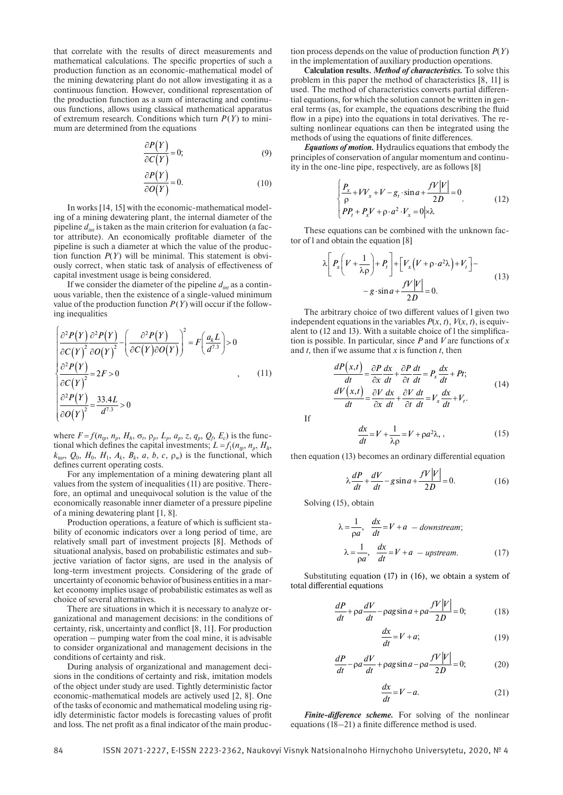that correlate with the results of direct measurements and mathematical calculations. The specific properties of such a production function as an economic-mathematical model of the mining dewatering plant do not allow investigating it as a continuous function. However, conditional representation of the production function as a sum of interacting and continuous functions, allows using classical mathematical apparatus of extremum research. Conditions which turn  $P(Y)$  to minimum are determined from the equations

$$
\frac{\partial P(Y)}{\partial C(Y)} = 0;\t\t(9)
$$

$$
\frac{\partial P(Y)}{\partial O(Y)} = 0.
$$
 (10)

In works [14, 15] with the economic-mathematical modeling of a mining dewatering plant, the internal diameter of the pipeline *dint* is taken as the main criterion for evaluation (a factor attribute). An economically profitable diameter of the pipeline is such a diameter at which the value of the production function  $P(Y)$  will be minimal. This statement is obviously correct, when static task of analysis of effectiveness of capital investment usage is being considered.

If we consider the diameter of the pipeline  $d_{int}$  as a continuous variable, then the existence of a single-valued minimum value of the production function  $P(Y)$  will occur if the following inequalities

$$
\begin{cases}\n\frac{\partial^2 P(Y)}{\partial C(Y)^2} \frac{\partial^2 P(Y)}{\partial O(Y)^2} - \left(\frac{\partial^2 P(Y)}{\partial C(Y)\partial O(Y)}\right)^2 = F\left(\frac{a_k L}{d^{7.3}}\right) > 0 \\
\frac{\partial^2 P(Y)}{\partial C(Y)^2} = 2F > 0 \\
\frac{\partial^2 P(Y)}{\partial O(Y)^2} = \frac{33.4L}{d^{7.3}} > 0\n\end{cases}
$$
\n
$$
(11)
$$

where  $F = f(n_p, n_p, H_h, \sigma_t, \rho_p, L_p, a_p, z, q_p, Q_f, E_c)$  is the functional which defines the capital investments;  $L = f_1(n_p, n_p, H_h)$  $k_{tar}$ ,  $Q_0$ ,  $H_0$ ,  $H_1$ ,  $A_k$ ,  $B_k$ ,  $a$ ,  $b$ ,  $c$ ,  $\rho_w$ ) is the functional, which defines current operating costs.

For any implementation of a mining dewatering plant all values from the system of inequalities (11) are positive. Therefore, an optimal and unequivocal solution is the value of the economically reasonable inner diameter of a pressure pipeline of a mining dewatering plant [1, 8].

Production operations, a feature of which is sufficient stability of economic indicators over a long period of time, are relatively small part of investment projects [8]. Methods of situational analysis, based on probabilistic estimates and subjective variation of factor signs, are used in the analysis of long-term investment projects. Considering of the grade of uncertainty of economic behavior of business entities in a market economy implies usage of probabilistic estimates as well as choice of several alternatives.

There are situations in which it is necessary to analyze organizational and management decisions: in the conditions of certainty, risk, uncertainty and conflict [8, 11]. For production operation – pumping water from the coal mine, it is advisable to consider organizational and management decisions in the conditions of certainty and risk.

During analysis of organizational and management decisions in the conditions of certainty and risk, imitation models of the object under study are used. Tightly deterministic factor economic-mathematical models are actively used [2, 8]. One of the tasks of economic and mathematical modeling using rigidly deterministic factor models is forecasting values of profit and loss. The net profit as a final indicator of the main production process depends on the value of production function *P*(*Y*) in the implementation of auxiliary production operations.

**Calculation results.** *Method of characteristics.* To solve this problem in this paper the method of characteristics [8, 11] is used. The method of characteristics converts partial differential equations, for which the solution cannot be written in general terms (as, for example, the equations describing the fluid flow in a pipe) into the equations in total derivatives. The resulting nonlinear equations can then be integrated using the methods of using the equations of finite differences.

*Equations of motion.* Hydraulics equations that embody the principles of conservation of angular momentum and continuity in the one-line pipe, respectively, are as follows [8]

$$
\begin{cases}\n\frac{P_x}{\rho} + V V_x + V - g_t \cdot \sin a + \frac{fV|V|}{2D} = 0 \\
P P_t + P_x V + \rho \cdot a^2 \cdot V_x = 0 \Big| \times \lambda\n\end{cases}
$$
\n(12)

These equations can be combined with the unknown factor of l and obtain the equation [8]

$$
\lambda \left[ P_x \left( V + \frac{1}{\lambda \rho} \right) + P_t \right] + \left[ V_x \left( V + \rho \cdot a^2 \lambda \right) + V_t \right] -
$$
  

$$
- g \cdot \sin a + \frac{f V |V|}{2D} = 0.
$$
 (13)

The arbitrary choice of two different values of l given two independent equations in the variables  $P(x, t)$ ,  $V(x, t)$ , is equivalent to (12 and 13). With a suitable choice of l the simplification is possible. In particular, since *P* and *V* are functions of *x* and *t*, then if we assume that *x* is function *t*, then

$$
\frac{dP(x,t)}{dt} = \frac{\partial P}{\partial x}\frac{dx}{dt} + \frac{\partial P}{\partial t}\frac{dt}{dt} = P_x\frac{dx}{dt} + Pt;
$$
\n
$$
\frac{dV(x,t)}{dt} = \frac{\partial V}{\partial x}\frac{dx}{dt} + \frac{\partial V}{\partial t}\frac{dt}{dt} = V_x\frac{dx}{dt} + V_t.
$$
\n(14)

$$
\frac{dx}{dt} = V + \frac{1}{\lambda \rho} = V + \rho a^2 \lambda, \qquad (15)
$$

then equation (13) becomes an ordinary differential equation

$$
\lambda \frac{dP}{dt} + \frac{dV}{dt} - g\sin a + \frac{fV|V|}{2D} = 0.
$$
 (16)

Solving (15), obtain

If

$$
\lambda = \frac{1}{\rho a}, \frac{dx}{dt} = V + a \quad - \text{downstream};
$$
\n
$$
\lambda = \frac{1}{\rho a}, \frac{dx}{dt} = V + a \quad - \text{upstream}. \tag{17}
$$

Substituting equation (17) in (16), we obtain a system of total differential equations

$$
\frac{dP}{dt} + \rho a \frac{dV}{dt} - \rho a g \sin a + \rho a \frac{fV|V|}{2D} = 0;
$$
 (18)

$$
\frac{dx}{dt} = V + a; \tag{19}
$$

$$
\frac{dP}{dt} - \rho a \frac{dV}{dt} + \rho a g \sin a - \rho a \frac{fV|V|}{2D} = 0; \tag{20}
$$

$$
\frac{dx}{dt} = V - a.\tag{21}
$$

*Finite-difference scheme.* For solving of the nonlinear equations (18–21) a finite difference method is used.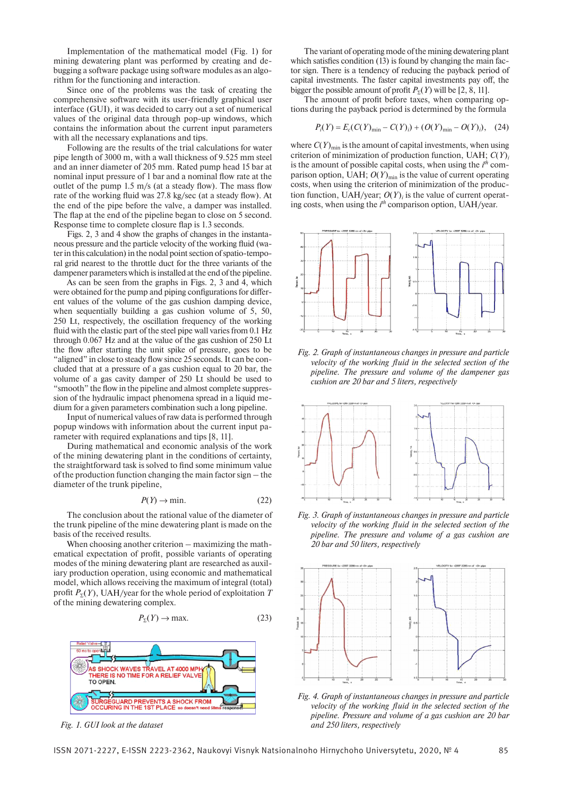Implementation of the mathematical model (Fig. 1) for mining dewatering plant was performed by creating and debugging a software package using software modules as an algorithm for the functioning and interaction.

Since one of the problems was the task of creating the comprehensive software with its user-friendly graphical user interface (GUI), it was decided to carry out a set of numerical values of the original data through pop-up windows, which contains the information about the current input parameters with all the necessary explanations and tips.

Following are the results of the trial calculations for water pipe length of 3000 m, with a wall thickness of 9.525 mm steel and an inner diameter of 205 mm. Rated pump head 15 bar at nominal input pressure of 1 bar and a nominal flow rate at the outlet of the pump 1.5 m/s (at a steady flow). The mass flow rate of the working fluid was 27.8 kg/sec (at a steady flow). At the end of the pipe before the valve, a damper was installed. The flap at the end of the pipeline began to close on 5 second. Response time to complete closure flap is 1.3 seconds.

Figs. 2, 3 and 4 show the graphs of changes in the instantaneous pressure and the particle velocity of the working fluid (water in this calculation) in the nodal point section of spatio-temporal grid nearest to the throttle duct for the three variants of the dampener parameters which is installed at the end of the pipeline.

As can be seen from the graphs in Figs. 2, 3 and 4, which were obtained for the pump and piping configurations for different values of the volume of the gas cushion damping device, when sequentially building a gas cushion volume of 5, 50, 250 Lt, respectively, the oscillation frequency of the working fluid with the elastic part of the steel pipe wall varies from 0.1 Hz through 0.067 Hz and at the value of the gas cushion of 250 Lt the flow after starting the unit spike of pressure, goes to be "aligned" in close to steady flow since 25 seconds. It can be concluded that at a pressure of a gas cushion equal to 20 bar, the volume of a gas cavity damper of 250 Lt should be used to "smooth" the flow in the pipeline and almost complete suppression of the hydraulic impact phenomena spread in a liquid medium for a given parameters combination such a long pipeline.

Input of numerical values of raw data is performed through popup windows with information about the current input parameter with required explanations and tips [8, 11].

During mathematical and economic analysis of the work of the mining dewatering plant in the conditions of certainty, the straightforward task is solved to find some minimum value of the production function changing the main factor sign – the diameter of the trunk pipeline,

$$
P(Y) \to \min. \tag{22}
$$

The conclusion about the rational value of the diameter of the trunk pipeline of the mine dewatering plant is made on the basis of the received results.

When choosing another criterion – maximizing the mathematical expectation of profit, possible variants of operating modes of the mining dewatering plant are researched as auxiliary production operation, using economic and mathematical model, which allows receiving the maximum of integral (total) profit  $P_{\Sigma}(Y)$ , UAH/year for the whole period of exploitation *T* of the mining dewatering complex.

$$
P_{\Sigma}(Y) \to \text{max.}
$$
 (23)



*Fig. 1. GUI look at the dataset*

The variant of operating mode of the mining dewatering plant which satisfies condition (13) is found by changing the main factor sign. There is a tendency of reducing the payback period of capital investments. The faster capital investments pay off, the bigger the possible amount of profit  $P_{\rm y}(Y)$  will be [2, 8, 11].

The amount of profit before taxes, when comparing options during the payback period is determined by the formula

$$
P_i(Y) = E_c(C(Y)_{\min} - C(Y)_i) + (O(Y)_{\min} - O(Y)_i), \quad (24)
$$

where  $C(Y)_{\text{min}}$  is the amount of capital investments, when using criterion of minimization of production function, UAH; *C*(*Y*)*<sup>i</sup>* is the amount of possible capital costs, when using the *i*<sup>th</sup> comparison option, UAH;  $O(Y)_{min}$  is the value of current operating costs, when using the criterion of minimization of the production function, UAH/year;  $O(Y)$ *i* is the value of current operating costs, when using the *i*<sup>th</sup> comparison option, UAH/year.



*Fig. 2. Graph of instantaneous changes in pressure and particle velocity of the working fluid in the selected section of the pipeline. The pressure and volume of the dampener gas cushion are 20 bar and 5 liters, respectively*



*Fig. 3. Graph of instantaneous changes in pressure and particle velocity of the working fluid in the selected section of the pipeline. The pressure and volume of a gas cushion are 20 bar and 50 liters, respectively*



*Fig. 4. Graph of instantaneous changes in pressure and particle velocity of the working fluid in the selected section of the pipeline. Pressure and volume of a gas cushion are 20 bar and 250 liters, respectively*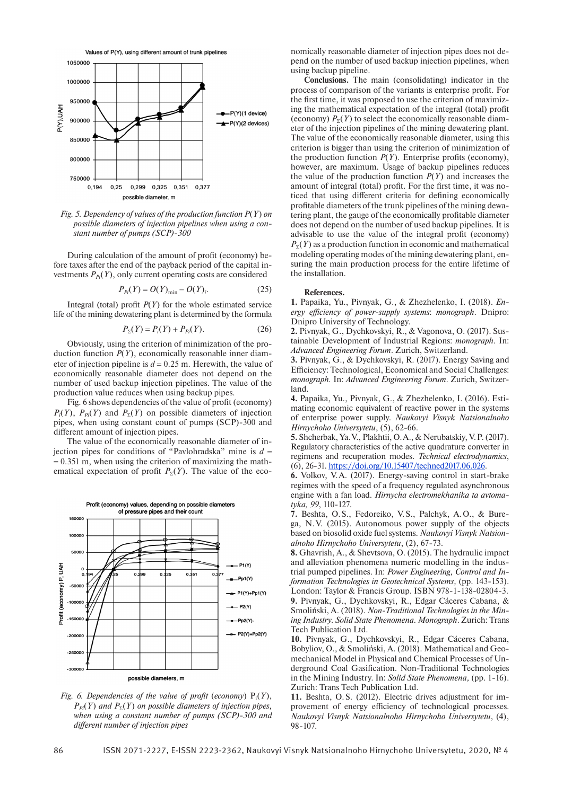Values of P(Y), using different amount of trunk pipelines



*Fig. 5. Dependency of values of the production function P*(*Y*) *on possible diameters of injection pipelines when using a constant number of pumps (SCP)-300*

During calculation of the amount of profit (economy) before taxes after the end of the payback period of the capital investments  $P_{pi}(Y)$ , only current operating costs are considered

$$
P_{pi}(Y) = O(Y)_{\min} - O(Y)_{i}.
$$
 (25)

Integral (total) profit  $P(Y)$  for the whole estimated service life of the mining dewatering plant is determined by the formula

$$
P_{\Sigma}(Y) = P_{i}(Y) + P_{pi}(Y). \tag{26}
$$

Obviously, using the criterion of minimization of the production function  $P(Y)$ , economically reasonable inner diameter of injection pipeline is  $d = 0.25$  m. Herewith, the value of economically reasonable diameter does not depend on the number of used backup injection pipelines. The value of the production value reduces when using backup pipes.

Fig. 6 shows dependencies of the value of profit (economy)  $P_i(Y)$ ,  $P_{Pi}(Y)$  and  $P_{\Sigma}(Y)$  on possible diameters of injection pipes, when using constant count of pumps (SCP)-300 and different amount of injection pipes.

The value of the economically reasonable diameter of injection pipes for conditions of "Pavlohradska" mine is  $d =$  $= 0.351$  m, when using the criterion of maximizing the mathematical expectation of profit  $P_{\rm y}(Y)$ . The value of the eco-



*Fig.* 6. Dependencies of the value of profit (economy)  $P_i(Y)$ ,  $P_{\text{Pi}}(Y)$  and  $P_{\Sigma}(Y)$  on possible diameters of injection pipes, *when using a constant number of pumps (SCP)-300 and different number of injection pipes*

nomically reasonable diameter of injection pipes does not depend on the number of used backup injection pipelines, when using backup pipeline.

**Conclusions.** The main (consolidating) indicator in the process of comparison of the variants is enterprise profit. For the first time, it was proposed to use the criterion of maximizing the mathematical expectation of the integral (total) profit (economy)  $P_{\Sigma}(Y)$  to select the economically reasonable diameter of the injection pipelines of the mining dewatering plant. The value of the economically reasonable diameter, using this criterion is bigger than using the criterion of minimization of the production function  $P(Y)$ . Enterprise profits (economy), however, are maximum. Usage of backup pipelines reduces the value of the production function *P*(*Y*) and increases the amount of integral (total) profit. For the first time, it was noticed that using different criteria for defining economically profitable diameters of the trunk pipelines of the mining dewatering plant, the gauge of the economically profitable diameter does not depend on the number of used backup pipelines. It is advisable to use the value of the integral profit (economy)  $P<sub>5</sub>(Y)$  as a production function in economic and mathematical modeling operating modes of the mining dewatering plant, ensuring the main production process for the entire lifetime of the installation.

#### **References.**

**1.** Papaika, Yu., Pivnyak, G., & Zhezhelenko, I. (2018). *Energy efficiency of power-supply systems*: *monograph*. Dnipro: Dnipro University of Technology.

**2.** Pivnyak, G., Dychkovskyi, R., & Vagonova, O. (2017). Sustainable Development of Industrial Regions: *monograph*. In: *Advanced Engineering Forum*. Zurich, Switzerland.

**3.** Pivnyak, G., & Dychkovskyi, R. (2017). Energy Saving and Efficiency: Technological, Economical and Social Challenges: *monograph.* In: *Advanced Engineering Forum*. Zurich, Switzerland.

**4.** Papaika, Yu., Pivnyak, G., & Zhezhelenko, I. (2016). Estimating economic equivalent of reactive power in the systems of enterprise power supply. *Naukovyi Visnyk Natsionalnoho Hirnychoho Universytetu*, (5), 62-66.

**5.** Shcherbak, Ya.V., Plakhtii, O.A., & Nerubatskiy, V.P. (2017). Regulatory characteristics of the active quadrature converter in regimens and recuperation modes. *Technical electrodynamics*, (6), 26-31. [https://doi.org/10.15407/techned2017.06.026.](https://doi.org/10.15407/techned2017.06.026)

**6.** Volkov, V.A. (2017). Energy-saving control in start-brake regimes with the speed of a frequency regulated asynchronous engine with a fan load. *Hirnycha electromekhanika ta avtomatyka, 99*, 110-127.

**7.** Beshta, O.S., Fedoreiko, V.S., Palchyk, A.O., & Burega, N.V. (2015). Autonomous power supply of the objects based on biosolid oxide fuel systems. *Naukovyi Visnyk Natsionalnoho Hirnychoho Universytetu*, (2), 67-73.

**8.** Ghavrish, A., & Shevtsova, O. (2015). The hydraulic impact and alleviation phenomena numeric modelling in the industrial pumped pipelines. In: *Power Engineering, Control and Information Technologies in Geotechnical Systems,* (pp. 143-153). London: Taylor & Francis Group. ISBN 978-1-138-02804-3. **9.** Pivnyak, G., Dychkovskyi, R., Edgar Cáceres Cabana, & Smoliński, A. (2018). *Non-Traditional Technologies in the Mining Industry. Solid State Phenomena. Monograph*. Zurich: Trans Tech Publication Ltd.

**10.** Pivnyak, G., Dychkovskyi, R., Edgar Cáceres Cabana, Bobyliov, O., & Smoliński, A. (2018). Mathematical and Geomechanical Model in Physical and Chemical Processes of Underground Coal Gasification. Non-Traditional Technologies in the Mining Industry. In: *Solid State Phenomena,* (pp. 1-16). Zurich: Trans Tech Publication Ltd.

**11.** Beshta, O.S. (2012). Electric drives adjustment for improvement of energy efficiency of technological processes. *Naukovyi Visnyk Natsionalnoho Hirnychoho Universytetu*, (4), 98-107.